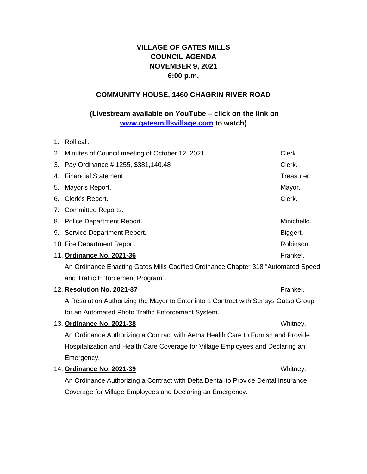# **VILLAGE OF GATES MILLS COUNCIL AGENDA NOVEMBER 9, 2021 6:00 p.m.**

### **COMMUNITY HOUSE, 1460 CHAGRIN RIVER ROAD**

## **(Livestream available on YouTube – click on the link on [www.gatesmillsvillage.com](http://www.gatesmillsvillage.com/) to watch)**

1. Roll call.

| 2. Minutes of Council meeting of October 12, 2021.                                  | Clerk.      |  |
|-------------------------------------------------------------------------------------|-------------|--|
| 3. Pay Ordinance #1255, \$381, 140.48                                               | Clerk.      |  |
| 4. Financial Statement.                                                             | Treasurer.  |  |
| 5. Mayor's Report.                                                                  | Mayor.      |  |
| 6. Clerk's Report.                                                                  | Clerk.      |  |
| 7. Committee Reports.                                                               |             |  |
| 8. Police Department Report.                                                        | Minichello. |  |
| 9. Service Department Report.                                                       | Biggert.    |  |
| 10. Fire Department Report.                                                         | Robinson.   |  |
| 11. Ordinance No. 2021-36                                                           | Frankel.    |  |
| An Ordinance Enacting Gates Mills Codified Ordinance Chapter 318 "Automated Speed   |             |  |
| and Traffic Enforcement Program".                                                   |             |  |
| 12. Resolution No. 2021-37                                                          | Frankel.    |  |
| A Resolution Authorizing the Mayor to Enter into a Contract with Sensys Gatso Group |             |  |

for an Automated Photo Traffic Enforcement System.

## 13. **Ordinance No. 2021-38** Whitney.

An Ordinance Authorizing a Contract with Aetna Health Care to Furnish and Provide Hospitalization and Health Care Coverage for Village Employees and Declaring an Emergency.

14. **Ordinance No. 2021-39** Whitney.

An Ordinance Authorizing a Contract with Delta Dental to Provide Dental Insurance Coverage for Village Employees and Declaring an Emergency.